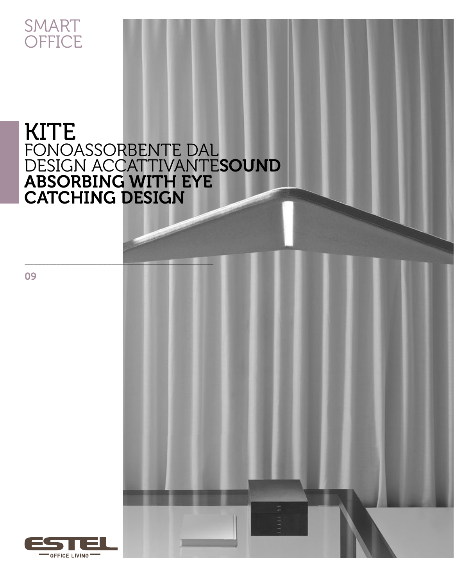## SMART **OFFICE**

## KITE FONOASSORBENTE DAL DESIGN ACCATTIVANTESOUND absorbing with eye catching design

09

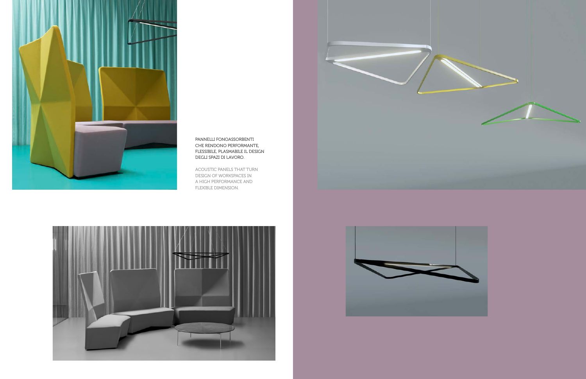

## Pannelli fonoassorbenti che rendono performante, flessibile, plasmabile il design degli spazi di lavoro.

Acoustic panels that turn design of workspaces in a high performance and flexible dimension.



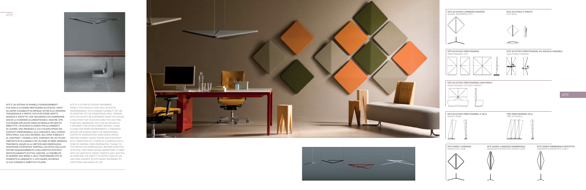

Kite is a system of sound-absorbing panels that reveals very high acoustic In addition to the traditional wall version, a solution that also includes the lighting function. Moreover, Kite can be applied as a backrest for upholstered seating. A new classic for work environments, a presence whose use ranges from the professional contexts communities, open space office, core of mineral fiber perforated, thanks to acoustic trap from sound absorption, a form with an aesthetic impact particularly ductile. In addition, the ability to enter a bar of LED lighting element in Kite Naked, increases its functions and areas of use.



performances, plus a broad flexibility of use. all'ampia flessibilità di impiego. Oltre alla versione SOSPESO A SOFFITTO, UNA SOLUZIONE CHE COMPRENDE THALL E CAN IN FACT BE SUSPENDED FROM THE CEILING, AL CONTRACT. I PANNELLI KITE, COMPOSTI DA UN TELAIO MEETING ROOMS, PUBLIC SPACES AND CONTRACT. PORTANTE IN ALLUMINIO E DA UN CORE DI FIBRA MINERALE HITE, CONSISTING OF A FRAME IN ALUMINUM AND I DIVENTANO UN'EFFICACE TRAPPOLA ACUSTICA DALL'ALTO THE PARTICULAR MORPHOLOGY BECOME Kite è un sistema di pannelli fonoassorbenti che rivela altissime prestazioni acustiche, unite tradizionale a parete, Kite può essere infatti anche la funzione illuminotecnica. Inoltre, Kite può essere applicato come schienale per sedute imbottite. Un nuovo classico per gli ambienti di lavoro, una presenza il cui utilizzo spazia dai contesti professionali alle comunità, dall'ufficio open space, alle sale riunioni, agli spazi pubblici e traforata, grazie alla particolare morfologia potere fonoassorbente e dall'impatto estetico particolarmente duttile. Inoltre, la possibilità di inserire una barra a LED e trasformare Kite in elemento illuminante, il Kite Naked, accresce le sue funzioni e ambiti di utilizzo.